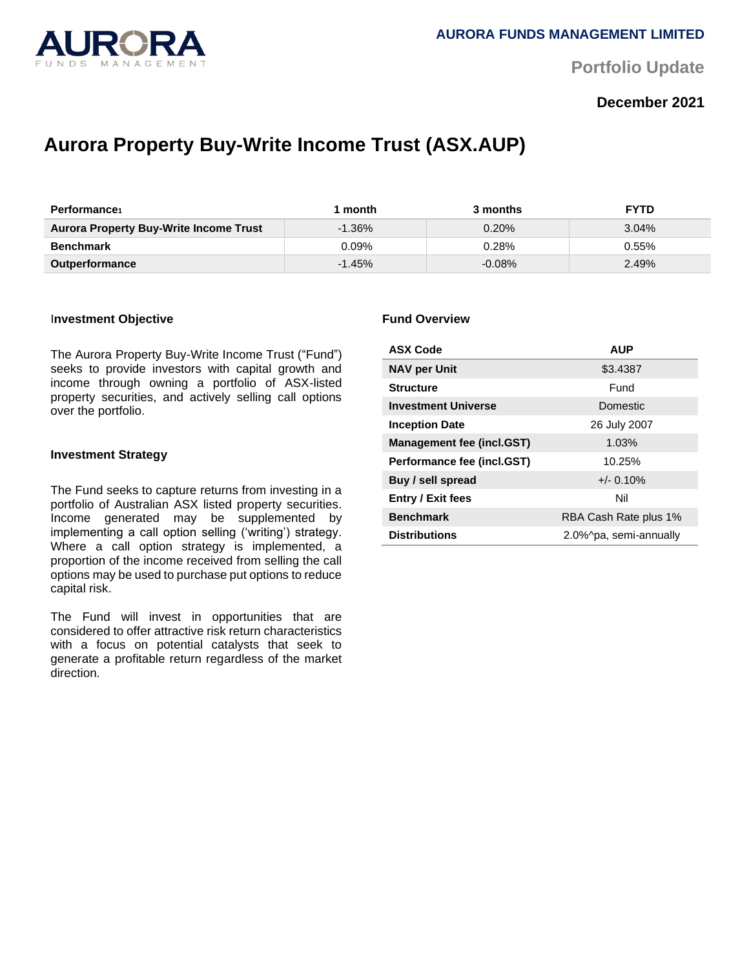

**Portfolio Update** 

## **December 2021**

# **Aurora Property Buy-Write Income Trust (ASX.AUP)**

| <b>Performance</b>                            | month     | 3 months | <b>FYTD</b> |
|-----------------------------------------------|-----------|----------|-------------|
| <b>Aurora Property Buy-Write Income Trust</b> | $-1.36\%$ | 0.20%    | 3.04%       |
| <b>Benchmark</b>                              | $0.09\%$  | 0.28%    | 0.55%       |
| <b>Outperformance</b>                         | $-1.45%$  | $-0.08%$ | 2.49%       |

#### I**nvestment Objective**

The Aurora Property Buy-Write Income Trust ("Fund") seeks to provide investors with capital growth and income through owning a portfolio of ASX-listed property securities, and actively selling call options over the portfolio.

#### **Investment Strategy**

The Fund seeks to capture returns from investing in a portfolio of Australian ASX listed property securities. Income generated may be supplemented by implementing a call option selling ('writing') strategy. Where a call option strategy is implemented, a proportion of the income received from selling the call options may be used to purchase put options to reduce capital risk.

The Fund will invest in opportunities that are considered to offer attractive risk return characteristics with a focus on potential catalysts that seek to generate a profitable return regardless of the market direction.

#### **Fund Overview**

| <b>ASX Code</b>                  | <b>AUP</b>             |  |
|----------------------------------|------------------------|--|
| <b>NAV per Unit</b>              | \$3.4387               |  |
| <b>Structure</b>                 | Fund                   |  |
| <b>Investment Universe</b>       | Domestic               |  |
| <b>Inception Date</b>            | 26 July 2007           |  |
| <b>Management fee (incl.GST)</b> | 1.03%                  |  |
| Performance fee (incl.GST)       | 10.25%                 |  |
| Buy / sell spread                | $+/- 0.10%$            |  |
| <b>Entry / Exit fees</b>         | Nil                    |  |
| <b>Benchmark</b>                 | RBA Cash Rate plus 1%  |  |
| <b>Distributions</b>             | 2.0%^pa, semi-annually |  |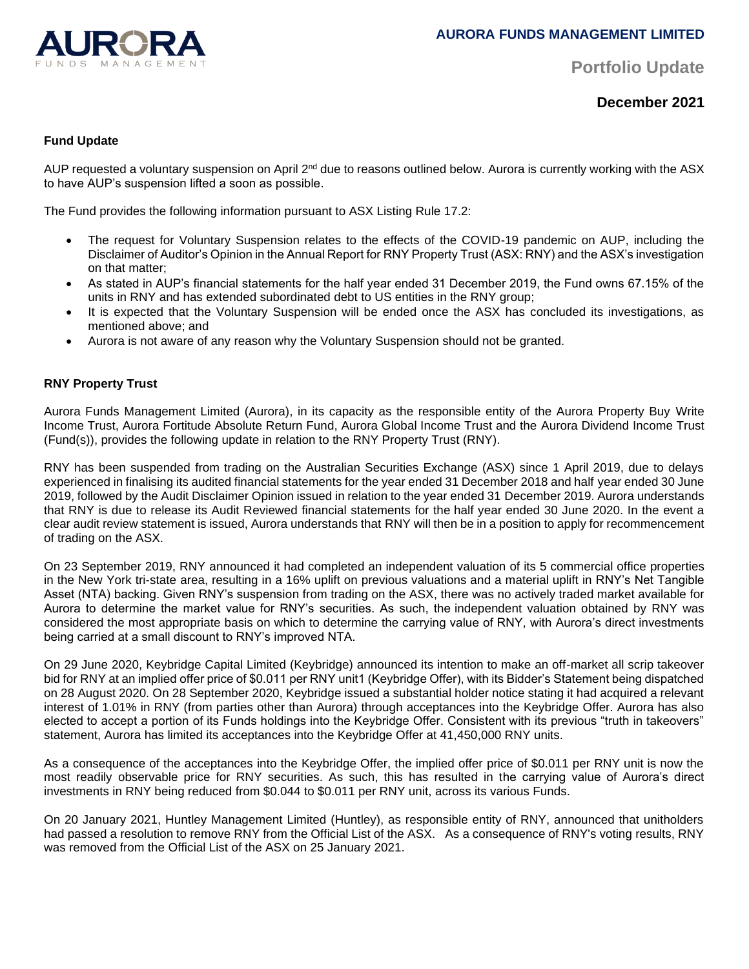

**Portfolio Update** 

**December 2021**

### **Fund Update**

AUP requested a voluntary suspension on April 2<sup>nd</sup> due to reasons outlined below. Aurora is currently working with the ASX to have AUP's suspension lifted a soon as possible.

The Fund provides the following information pursuant to ASX Listing Rule 17.2:

- The request for Voluntary Suspension relates to the effects of the COVID-19 pandemic on AUP, including the Disclaimer of Auditor's Opinion in the Annual Report for RNY Property Trust (ASX: RNY) and the ASX's investigation on that matter;
- As stated in AUP's financial statements for the half year ended 31 December 2019, the Fund owns 67.15% of the units in RNY and has extended subordinated debt to US entities in the RNY group;
- It is expected that the Voluntary Suspension will be ended once the ASX has concluded its investigations, as mentioned above; and
- Aurora is not aware of any reason why the Voluntary Suspension should not be granted.

#### **RNY Property Trust**

Aurora Funds Management Limited (Aurora), in its capacity as the responsible entity of the Aurora Property Buy Write Income Trust, Aurora Fortitude Absolute Return Fund, Aurora Global Income Trust and the Aurora Dividend Income Trust (Fund(s)), provides the following update in relation to the RNY Property Trust (RNY).

RNY has been suspended from trading on the Australian Securities Exchange (ASX) since 1 April 2019, due to delays experienced in finalising its audited financial statements for the year ended 31 December 2018 and half year ended 30 June 2019, followed by the Audit Disclaimer Opinion issued in relation to the year ended 31 December 2019. Aurora understands that RNY is due to release its Audit Reviewed financial statements for the half year ended 30 June 2020. In the event a clear audit review statement is issued, Aurora understands that RNY will then be in a position to apply for recommencement of trading on the ASX.

On 23 September 2019, RNY announced it had completed an independent valuation of its 5 commercial office properties in the New York tri-state area, resulting in a 16% uplift on previous valuations and a material uplift in RNY's Net Tangible Asset (NTA) backing. Given RNY's suspension from trading on the ASX, there was no actively traded market available for Aurora to determine the market value for RNY's securities. As such, the independent valuation obtained by RNY was considered the most appropriate basis on which to determine the carrying value of RNY, with Aurora's direct investments being carried at a small discount to RNY's improved NTA.

On 29 June 2020, Keybridge Capital Limited (Keybridge) announced its intention to make an off-market all scrip takeover bid for RNY at an implied offer price of \$0.011 per RNY unit1 (Keybridge Offer), with its Bidder's Statement being dispatched on 28 August 2020. On 28 September 2020, Keybridge issued a substantial holder notice stating it had acquired a relevant interest of 1.01% in RNY (from parties other than Aurora) through acceptances into the Keybridge Offer. Aurora has also elected to accept a portion of its Funds holdings into the Keybridge Offer. Consistent with its previous "truth in takeovers" statement, Aurora has limited its acceptances into the Keybridge Offer at 41,450,000 RNY units.

As a consequence of the acceptances into the Keybridge Offer, the implied offer price of \$0.011 per RNY unit is now the most readily observable price for RNY securities. As such, this has resulted in the carrying value of Aurora's direct investments in RNY being reduced from \$0.044 to \$0.011 per RNY unit, across its various Funds.

On 20 January 2021, Huntley Management Limited (Huntley), as responsible entity of RNY, announced that unitholders had passed a resolution to remove RNY from the Official List of the ASX. As a consequence of RNY's voting results, RNY was removed from the Official List of the ASX on 25 January 2021.